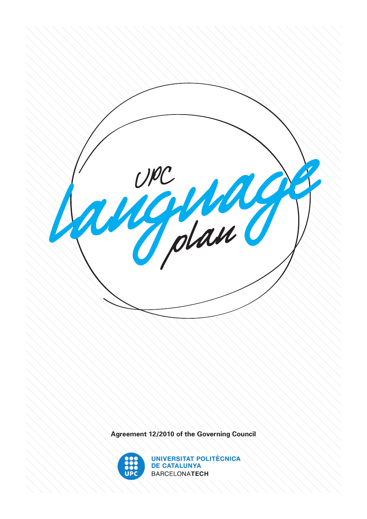

**Agreement 12/2010 of the Governing Council**



**UNIVERSITAT POLITÈCNICA DE CATALUNYA BARCELONATECH**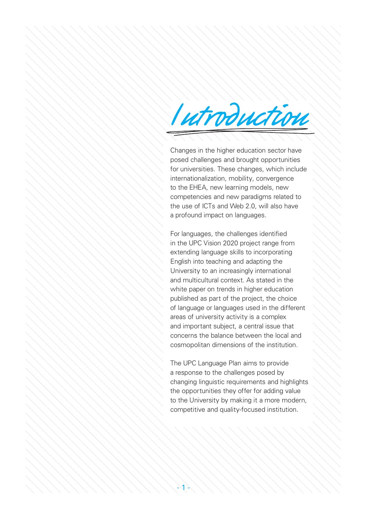# Iutroduction

Changes in the higher education sector have posed challenges and brought opportunities for universities. These changes, which include internationalization, mobility, convergence to the EHEA, new learning models, new competencies and new paradigms related to the use of ICTs and Web 2.0, will also have a profound impact on languages.

For languages, the challenges identified in the UPC Vision 2020 project range from extending language skills to incorporating English into teaching and adapting the University to an increasingly international and multicultural context. As stated in the white paper on trends in higher education published as part of the project, the choice of language or languages used in the different areas of university activity is a complex and important subject, a central issue that concerns the balance between the local and cosmopolitan dimensions of the institution.

The UPC Language Plan aims to provide a response to the challenges posed by changing linguistic requirements and highlights the opportunities they offer for adding value to the University by making it a more modern, competitive and quality-focused institution.

 $\neg \blacktriangleleft \Rightarrow$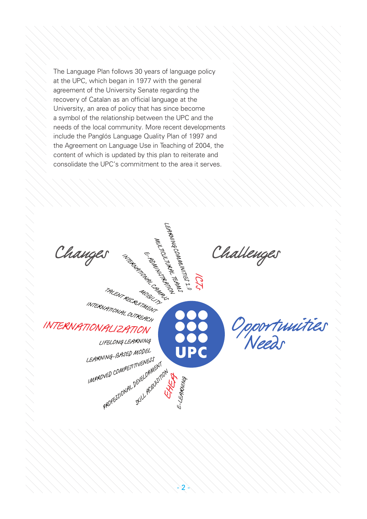The Language Plan follows 30 years of language policy at the UPC, which began in 1977 with the general agreement of the University Senate regarding the recovery of Catalan as an official language at the University, an area of policy that has since become a symbol of the relationship between the UPC and the needs of the local community. More recent developments include the Panglós Language Quality Plan of 1997 and the Agreement on Language Use in Teaching of 2004, the content of which is updated by this plan to reiterate and consolidate the UPC's commitment to the area it serves.

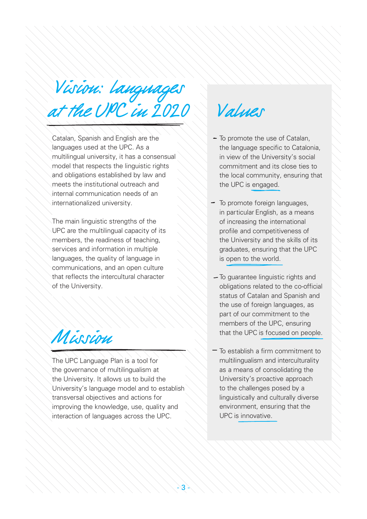at the UPC in 2020 Values Vision: languages

Catalan, Spanish and English are the languages used at the UPC. As a multilingual university, it has a consensual model that respects the linguistic rights and obligations established by law and meets the institutional outreach and internal communication needs of an internationalized university.

The main linguistic strengths of the UPC are the multilingual capacity of its members, the readiness of teaching, services and information in multiple languages, the quality of language in communications, and an open culture that reflects the intercultural character of the University.

Mission

The UPC Language Plan is a tool for the governance of multilingualism at the University. It allows us to build the University's language model and to establish transversal objectives and actions for improving the knowledge, use, quality and interaction of languages across the UPC.

- $-$  To promote the use of Catalan, the language specific to Catalonia, in view of the University's social commitment and its close ties to the local community, ensuring that the UPC is engaged.
- To promote foreign languages, in particular English, as a means of increasing the international profile and competitiveness of the University and the skills of its graduates, ensuring that the UPC is open to the world.
- To guarantee linguistic rights and obligations related to the co-official status of Catalan and Spanish and the use of foreign languages, as part of our commitment to the members of the UPC, ensuring that the UPC is focused on people.
- $\overline{\phantom{a}}$  To establish a firm commitment to multilingualism and interculturality as a means of consolidating the University's proactive approach to the challenges posed by a linguistically and culturally diverse environment, ensuring that the UPC is innovative.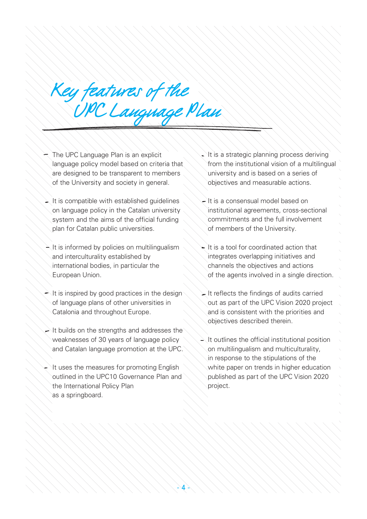Key features of the<br>UPC Language Plan

- The UPC Language Plan is an explicit language policy model based on criteria that are designed to be transparent to members of the University and society in general.
- $\geq$  It is compatible with established quidelines on language policy in the Catalan university system and the aims of the official funding plan for Catalan public universities.
- $\geq$  It is informed by policies on multilingualism and interculturality established by international bodies, in particular the European Union.
- $\rightarrow$  It is inspired by good practices in the design of language plans of other universities in Catalonia and throughout Europe.
- $\rightarrow$  It builds on the strengths and addresses the weaknesses of 30 years of language policy and Catalan language promotion at the UPC.
- It uses the measures for promoting English outlined in the UPC10 Governance Plan and the International Policy Plan as a springboard.
- It is a strategic planning process deriving from the institutional vision of a multilingual university and is based on a series of objectives and measurable actions.
- It is a consensual model based on institutional agreements, cross-sectional commitments and the full involvement of members of the University.
- It is a tool for coordinated action that integrates overlapping initiatives and channels the objectives and actions of the agents involved in a single direction.
- $\geq$  It reflects the findings of audits carried out as part of the UPC Vision 2020 project and is consistent with the priorities and objectives described therein.
- $\lambda$  It outlines the official institutional position on multilingualism and multiculturality, in response to the stipulations of the white paper on trends in higher education published as part of the UPC Vision 2020 project.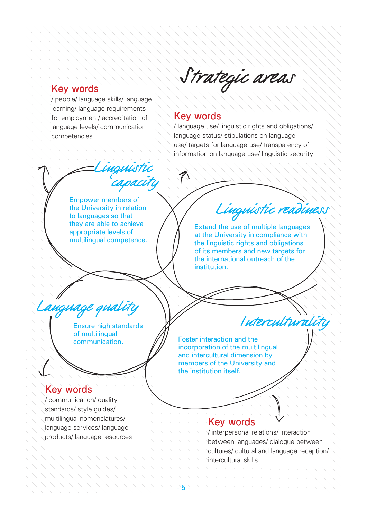# Strategic areas

# **Key words**

/ people/ language skills/ language learning/ language requirements for employment/ accreditation of language levels/ communication competencies

### **Key words**

/ language use/ linguistic rights and obligations/ language status/ stipulations on language use/ targets for language use/ transparency of information on language use/ linguistic security

Empower members of the University in relation to languages so that they are able to achieve appropriate levels of multilingual competence.

ingvistic<br>capacity

Linguistic readiness

Extend the use of multiple languages at the University in compliance with the linguistic rights and obligations of its members and new targets for the international outreach of the institution.

Language quality Van Auterculturality

Ensure high standards of multilingual communication.

## **Key words**

/ communication/ quality standards/ style quides/ multilingual nomenclatures/ language services/ language products/ language resources Foster interaction and the incorporation of the multilingual and intercultural dimension by members of the University and the institution itself.

# **Key words**

/ interpersonal relations/ interaction between languages/ dialogue between cultures/ cultural and language reception/ intercultural skills

 $-2 >$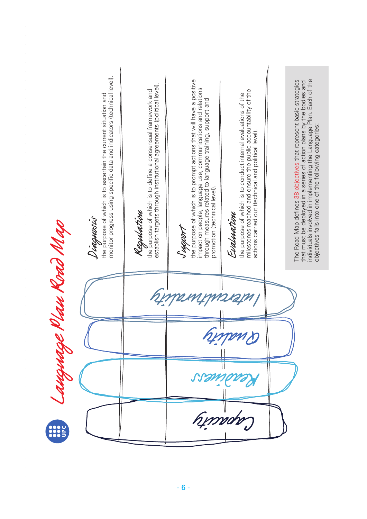monitor progress using specific data and indicators (technical level). monitor progress using specific data and indicators (technical level). the purpose of which is to prompt actions that will have a positive individuals involved in implementing the Language Plan. Each of the Jupport<br>the purpose of which is to prompt actions that will have a positive The Road Map defines 38 objectives that represent basic strategies individuals involved in implementing the Language Plan. Each of the that must be deployed in a series of action plans by the bodies and The Road Map defines 38 objectives that represent basic strategies that must be deployed in a series of action plans by the bodies and establish targets through institutional agreements (political level). establish targets through institutional agreements (political level). impact on people, language use, communications and relations milestones reached and ensure the public accountability of the milestones reached and ensure the public accountability of the **Regulation**<br>the purpose of which is to define a consensual framework and impact on people, language use, communications and relations the purpose of which is to define a consensual framework and the purpose of which is to conduct internal evaluations of the **Diaguació**<br>the purpose of which is to ascertain the current situation and the purpose of which is to conduct internal evaluations of the the purpose of which is to ascertain the current situation and through measures related to language training, support and through measures related to language training, support and objectives falls into one of the following categories: objectives falls into one of the following categories: actions carried out (technical and political level). actions carried out (technical and political level). promotion (technical level). promotion (technical level). Evalmation Evaluation Language Plan Road Map ungnange Khan Kord Mayo Interculturality Quality Readines Capacity  $\frac{1}{1000}$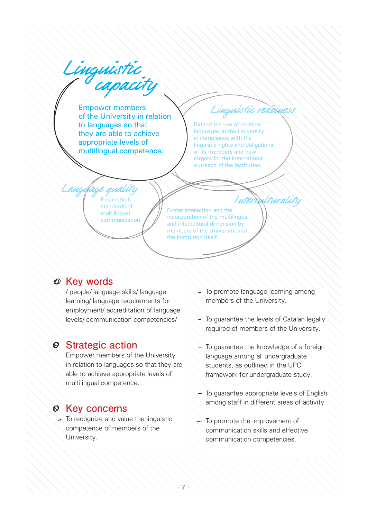Extend the use of multiple languages at the University in compliance with the linguistic rights and obligations of its members and new targets for the international outreach of the institution. Foster interaction and the incorporation of the multilingual and intercultural dimension by members of the University and the institution itself. Ensure high standards of multilingual communication. Linguistic<br>Capacity Empower members of the University in relation to languages so that they are able to achieve appropriate levels of multilingual competence. Linguistic readiness Language quality<br>Ensure high Ensure high Interculturality

### **Key words**

/ people/ language skills/ language learning/ language requirements for employment/ accreditation of language levels/ communication competencies/

# **Strategic action**

Empower members of the University in relation to languages so that they are able to achieve appropriate levels of multilingual competence.

# **Key concerns**

 $\sim$  To recognize and value the linguistic competence of members of the University.

- $\geq$  To promote language learning among members of the University.
- $\sim$  To guarantee the levels of Catalan legally required of members of the University.
- To guarantee the knowledge of a foreign language among all undergraduate students, as outlined in the UPC framework for undergraduate study.
- To guarantee appropriate levels of English among staff in different areas of activity.
- To promote the improvement of communication skills and effective communication competencies.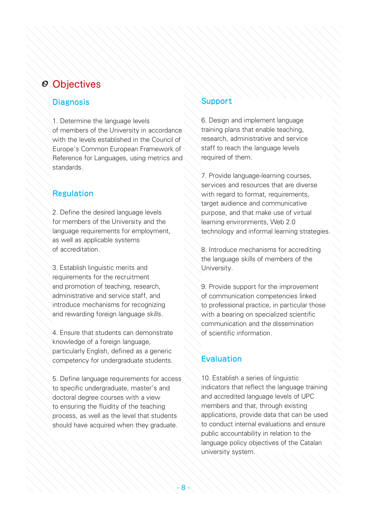#### **Diagnosis**

1. Determine the language levels of members of the University in accordance with the levels established in the Council of Europe's Common European Framework of Reference for Languages, using metrics and standards.

## Regulation

2. Define the desired language levels for members of the University and the language requirements for employment, as well as applicable systems of accreditation.

3. Establish linguistic merits and requirements for the recruitment and promotion of teaching, research, administrative and service staff, and introduce mechanisms for recognizing and rewarding foreign language skills.

4. Ensure that students can demonstrate knowledge of a foreign language, particularly English, defined as a generic competency for undergraduate students.

5. Define language requirements for access to specific undergraduate, master's and doctoral degree courses with a view to ensuring the fluidity of the teaching process, as well as the level that students should have acquired when they graduate.

### Support

6. Design and implement language training plans that enable teaching, research, administrative and service staff to reach the language levels required of them.

7. Provide language-learning courses, services and resources that are diverse with regard to format, requirements, target audience and communicative purpose, and that make use of virtual learning environments, Web 2.0 technology and informal learning strategies.

8. Introduce mechanisms for accrediting the language skills of members of the University.

9. Provide support for the improvement of communication competencies linked to professional practice, in particular those with a bearing on specialized scientific communication and the dissemination of scientific information.

# **Evaluation**

10. Establish a series of linguistic indicators that reflect the language training and accredited language levels of UPC members and that, through existing applications, provide data that can be used to conduct internal evaluations and ensure public accountability in relation to the language policy objectives of the Catalan university system.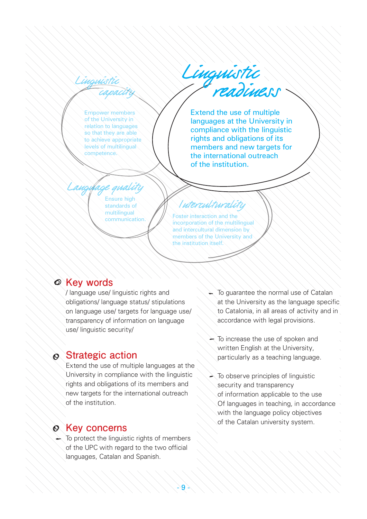Ling<u>nistic</u><br>Capacity

Empower members of the University in relation to languages so that they are able to achieve appropriate levels of multilingual competence.

Linguistic

Extend the use of multiple languages at the University in compliance with the linguistic rights and obligations of its members and new targets for the international outreach of the institution.

Ensure high standards of Langufage quality

multilingual communication.

# Interculturality

Foster interaction and the incorporation of the multilingual and intercultural dimension by members of the University and the institution itself.

## **Key words**

/ language use/ linguistic rights and obligations/ language status/ stipulations on language use/ targets for language use/ transparency of information on language use/ linguistic security/

# **Strategic action**

Extend the use of multiple languages at the University in compliance with the linguistic rights and obligations of its members and new targets for the international outreach of the institution.

### **Rev concerns**

 $\leftarrow$  To protect the linguistic rights of members of the UPC with regard to the two official languages, Catalan and Spanish.

- To guarantee the normal use of Catalan at the University as the language specific to Catalonia, in all areas of activity and in accordance with legal provisions.
- To increase the use of spoken and written English at the University, particularly as a teaching language.
- $\sim$  To observe principles of linguistic security and transparency
	- of information applicable to the use
	- Of languages in teaching, in accordance with the language policy objectives
	- of the Catalan university system.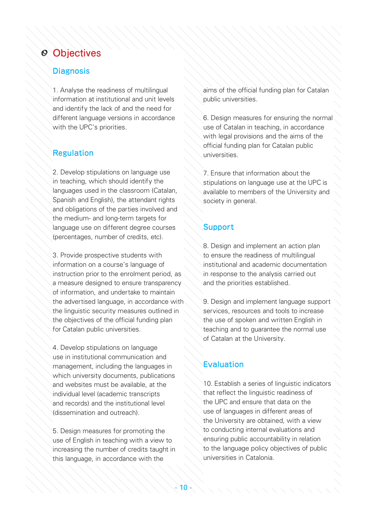#### **Diagnosis**

1. Analyse the readiness of multilingual information at institutional and unit levels and identify the lack of and the need for different language versions in accordance with the UPC's priorities.

#### Regulation

2. Develop stipulations on language use in teaching, which should identify the languages used in the classroom (Catalan, Spanish and English), the attendant rights and obligations of the parties involved and the medium- and long-term targets for language use on different degree courses (percentages, number of credits, etc).

3. Provide prospective students with information on a course's language of instruction prior to the enrolment period, as a measure designed to ensure transparency of information, and undertake to maintain the advertised language, in accordance with the linguistic security measures outlined in the objectives of the official funding plan for Catalan public universities.

4. Develop stipulations on language use in institutional communication and management, including the languages in which university documents, publications and websites must be available, at the individual level (academic transcripts and records) and the institutional level (dissemination and outreach).

5. Design measures for promoting the use of English in teaching with a view to increasing the number of credits taught in this language, in accordance with the

aims of the official funding plan for Catalan public universities.

6. Design measures for ensuring the normal use of Catalan in teaching, in accordance with legal provisions and the aims of the official funding plan for Catalan public universities.

7. Ensure that information about the stipulations on language use at the UPC is available to members of the University and society in general.

#### Support

8. Design and implement an action plan to ensure the readiness of multilingual institutional and academic documentation in response to the analysis carried out and the priorities established.

9. Design and implement language support services, resources and tools to increase the use of spoken and written English in teaching and to guarantee the normal use of Catalan at the University.

#### **Evaluation**

10. Establish a series of linguistic indicators that reflect the linguistic readiness of the UPC and ensure that data on the use of languages in different areas of the University are obtained, with a view to conducting internal evaluations and ensuring public accountability in relation to the language policy objectives of public universities in Catalonia.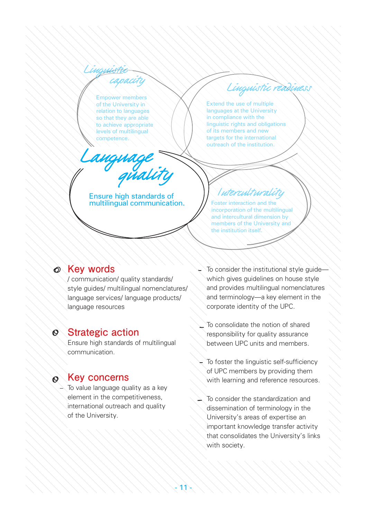Empower members of the University in relation to languages so that they are able to achieve appropriate levels of multilingual competence.

anguage

Lingu<del>istic -</del><br>T<sup>ra</sup>capacity

Extend the use of multiple languages at the University in compliance with the linguistic rights and obligations of its members and new targets for the international outreach of the institution.

Linguistic read

Ensure high standards of multilingual communication.

# uterculturality

Foster interaction and the incorporation of the multilingual and intercultural dimension by members of the University and the institution itself.

# **Key words**

/ communication/ quality standards/ style guides/ multilingual nomenclatures/ language services/ language products/ language resources

#### $\mathcal{O}$ **Strategic action**

Ensure high standards of multilingual communication.

#### $\circledcirc$ **Key concerns**

 $\geq$  To value language quality as a key element in the competitiveness, international outreach and quality of the University.

- To consider the institutional style guide which gives guidelines on house style and provides multilingual nomenclatures and terminology—a key element in the corporate identity of the UPC.
- To consolidate the notion of shared responsibility for quality assurance between UPC units and members.
- To foster the linguistic self-sufficiency of UPC members by providing them with learning and reference resources.
- To consider the standardization and dissemination of terminology in the University's areas of expertise an important knowledge transfer activity that consolidates the University's links with society.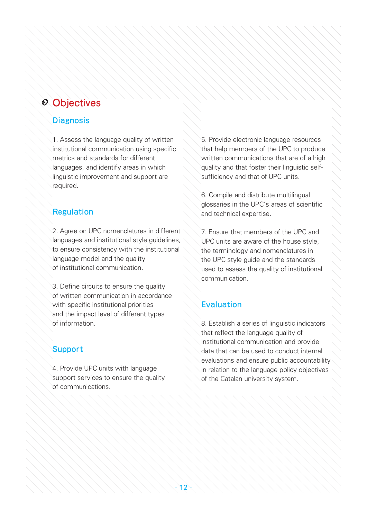#### **Diagnosis**

1. Assess the language quality of written institutional communication using specific metrics and standards for different languages, and identify areas in which linguistic improvement and support are required.

### Regulation

2. Agree on UPC nomenclatures in different languages and institutional style guidelines, to ensure consistency with the institutional language model and the quality of institutional communication.

3. Define circuits to ensure the quality of written communication in accordance with specific institutional priorities and the impact level of different types of information.

#### Support

4. Provide UPC units with language support services to ensure the quality of communications.

5. Provide electronic language resources that help members of the UPC to produce written communications that are of a high quality and that foster their linguistic selfsufficiency and that of UPC units.

6. Compile and distribute multilingual glossaries in the UPC's areas of scientific and technical expertise.

7. Ensure that members of the UPC and UPC units are aware of the house style, the terminology and nomenclatures in the UPC style guide and the standards used to assess the quality of institutional communication.

#### **Evaluation**

8. Establish a series of linguistic indicators that reflect the language quality of institutional communication and provide data that can be used to conduct internal evaluations and ensure public accountability in relation to the language policy objectives of the Catalan university system.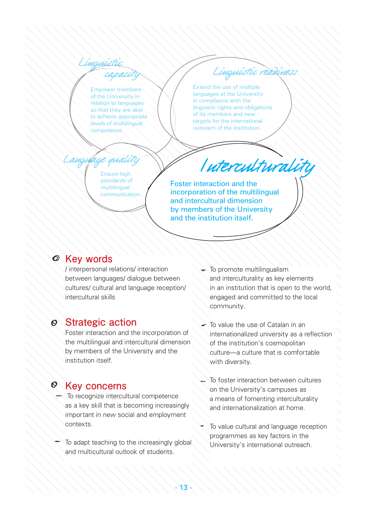Linguistic capacity 

Empower members of the University in relation to languages so that they are able to achieve appropriate levels of multilingual competence.

Linguistic reading

Extend the use of multiple languages at the University in compliance with the linguistic rights and obligations of its members and new targets for the international outreach of the institution.

Ensure high standards of multilingual communication. Langufage quality

# Interculturality

Foster interaction and the incorporation of the multilingual and intercultural dimension by members of the University and the institution itself.

### **Key words**

/ interpersonal relations/ interaction between languages/ dialogue between cultures/ cultural and language reception/ intercultural skills

#### **Strategic action**  $\mathcal{O}$

Foster interaction and the incorporation of the multilingual and intercultural dimension by members of the University and the institution itself.

# **Key concerns**

- $\geq$  To recognize intercultural competence as a key skill that is becoming increasingly important in new social and employment contexts.
- To adapt teaching to the increasingly global and multicultural outlook of students.

13

- $\rightarrow$  To promote multilingualism and interculturality as key elements in an institution that is open to the world, engaged and committed to the local community.
- $\sim$  To value the use of Catalan in an internationalized university as a reflection of the institution's cosmopolitan culture—a culture that is comfortable with diversity.
- To foster interaction between cultures on the University's campuses as a means of fomenting interculturality and internationalization at home.
- To value cultural and language reception programmes as key factors in the University's international outreach.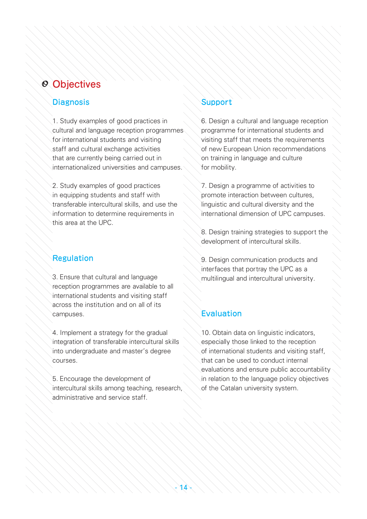#### **Diagnosis**

1. Study examples of good practices in cultural and language reception programmes for international students and visiting staff and cultural exchange activities that are currently being carried out in internationalized universities and campuses.

2. Study examples of good practices in equipping students and staff with transferable intercultural skills, and use the information to determine requirements in this area at the UPC.

# Regulation

3. Ensure that cultural and language reception programmes are available to all international students and visiting staff across the institution and on all of its campuses.

4. Implement a strategy for the gradual integration of transferable intercultural skills into undergraduate and master's degree courses.

5. Encourage the development of intercultural skills among teaching, research, administrative and service staff.

## Support

6. Design a cultural and language reception programme for international students and visiting staff that meets the requirements of new European Union recommendations on training in language and culture for mobility.

7. Design a programme of activities to promote interaction between cultures, linguistic and cultural diversity and the international dimension of UPC campuses.

8. Design training strategies to support the development of intercultural skills.

9. Design communication products and interfaces that portray the UPC as a multilingual and intercultural university.

# Evaluation

10. Obtain data on linguistic indicators, especially those linked to the reception of international students and visiting staff, that can be used to conduct internal evaluations and ensure public accountability in relation to the language policy objectives of the Catalan university system.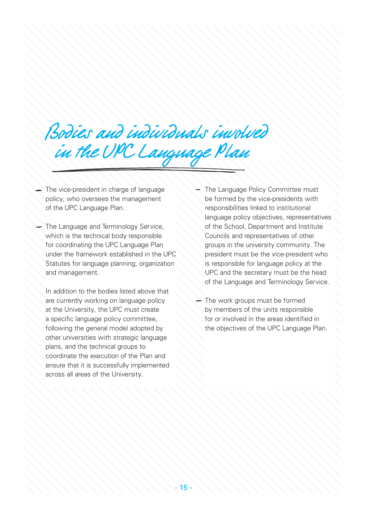# Bodies and individuals involved in the UPC Language Plan

The vice-president in charge of language policy, who oversees the management of the UPC Language Plan.

The Language and Terminology Service, which is the technical body responsible for coordinating the UPC Language Plan under the framework established in the UPC Statutes for language planning, organization and management.

In addition to the bodies listed above that are currently working on language policy at the University, the UPC must create a specific language policy committee, following the general model adopted by other universities with strategic language plans, and the technical groups to coordinate the execution of the Plan and ensure that it is successfully implemented across all areas of the University.

The Language Policy Committee must be formed by the vice-presidents with responsibilities linked to institutional language policy objectives, representatives of the School, Department and Institute Councils and representatives of other groups in the university community. The president must be the vice-president who is responsible for language policy at the UPC and the secretary must be the head of the Language and Terminology Service.

 $\geq$  The work groups must be formed by members of the units responsible for or involved in the areas identified in the objectives of the UPC Language Plan.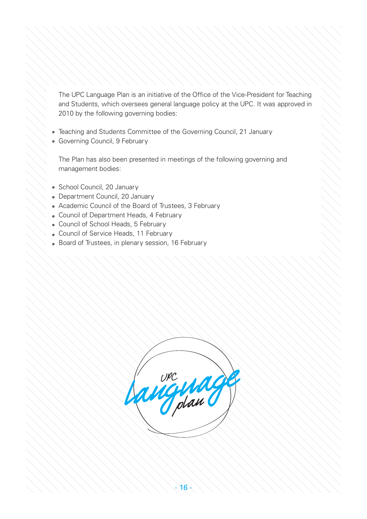The UPC Language Plan is an initiative of the Office of the Vice-President for Teaching and Students, which oversees general language policy at the UPC. It was approved in 2010 by the following governing bodies:

- Teaching and Students Committee of the Governing Council, 21 January
- Governing Council, 9 February

The Plan has also been presented in meetings of the following governing and management bodies:

- School Council, 20 January
- Department Council, 20 January
- Academic Council of the Board of Trustees, 3 February
- Council of Department Heads, 4 February
- Council of School Heads, 5 February
- Council of Service Heads, 11 February
- Board of Trustees, in plenary session, 16 February

plan UPC